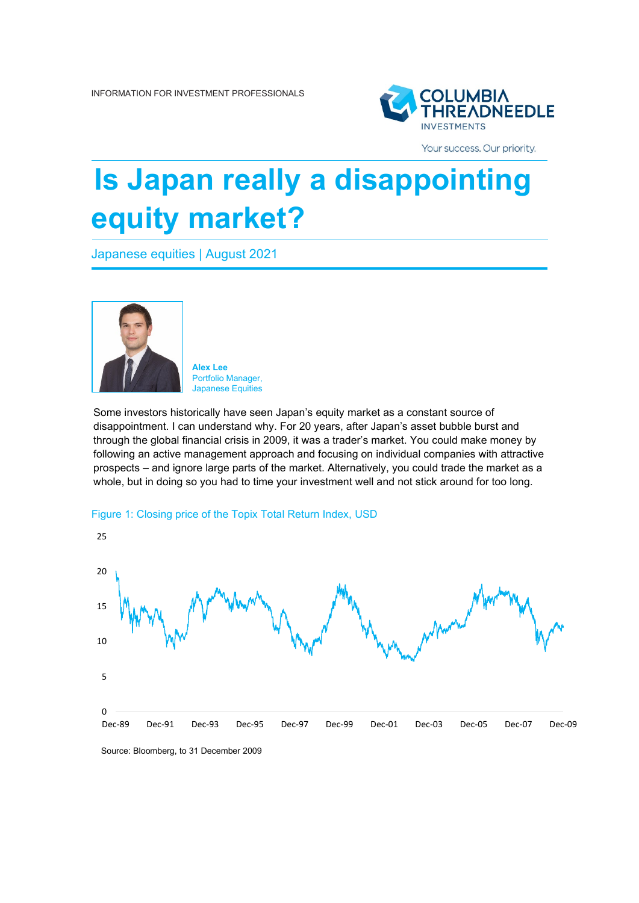

Your success. Our priority.

# **Is Japan really a disappointing equity market?**

Japanese equities | August 2021



**Alex Lee** Portfolio Manager, Japanese Equities

Some investors historically have seen Japan's equity market as a constant source of disappointment. I can understand why. For 20 years, after Japan's asset bubble burst and through the global financial crisis in 2009, it was a trader's market. You could make money by following an active management approach and focusing on individual companies with attractive prospects – and ignore large parts of the market. Alternatively, you could trade the market as a whole, but in doing so you had to time your investment well and not stick around for too long.



## Figure 1: Closing price of the Topix Total Return Index, USD

Source: Bloomberg, to 31 December 2009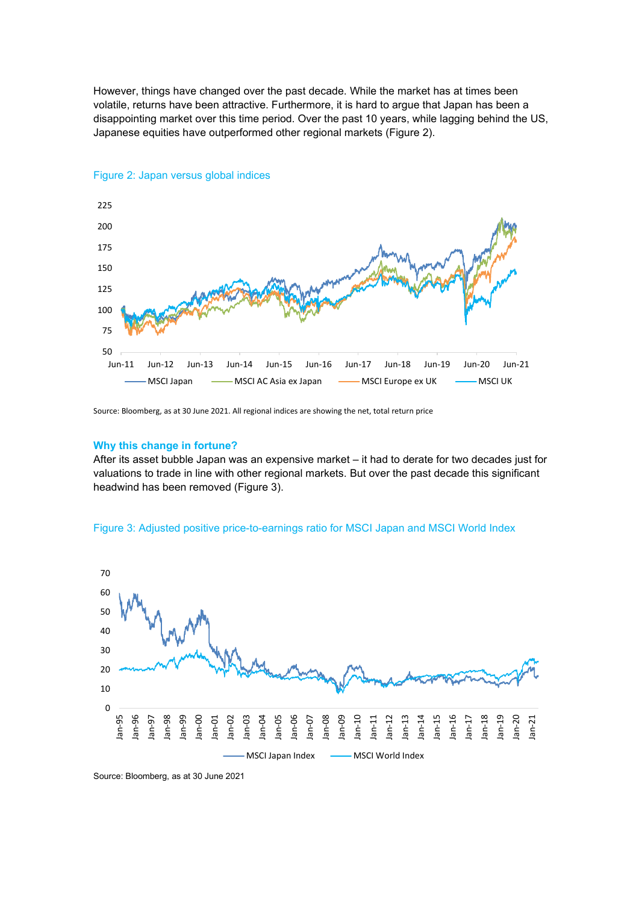However, things have changed over the past decade. While the market has at times been volatile, returns have been attractive. Furthermore, it is hard to argue that Japan has been a disappointing market over this time period. Over the past 10 years, while lagging behind the US, Japanese equities have outperformed other regional markets (Figure 2).



## Figure 2: Japan versus global indices

Source: Bloomberg, as at 30 June 2021. All regional indices are showing the net, total return price

#### **Why this change in fortune?**

After its asset bubble Japan was an expensive market – it had to derate for two decades just for valuations to trade in line with other regional markets. But over the past decade this significant headwind has been removed (Figure 3).



#### Figure 3: Adjusted positive price-to-earnings ratio for MSCI Japan and MSCI World Index

Source: Bloomberg, as at 30 June 2021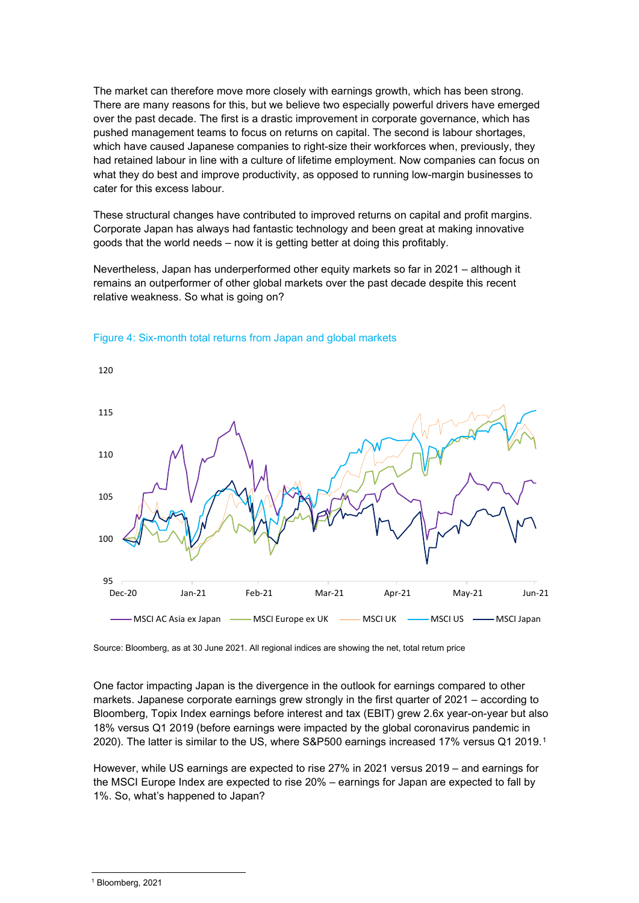The market can therefore move more closely with earnings growth, which has been strong. There are many reasons for this, but we believe two especially powerful drivers have emerged over the past decade. The first is a drastic improvement in corporate governance, which has pushed management teams to focus on returns on capital. The second is labour shortages, which have caused Japanese companies to right-size their workforces when, previously, they had retained labour in line with a culture of lifetime employment. Now companies can focus on what they do best and improve productivity, as opposed to running low-margin businesses to cater for this excess labour.

These structural changes have contributed to improved returns on capital and profit margins. Corporate Japan has always had fantastic technology and been great at making innovative goods that the world needs – now it is getting better at doing this profitably.

Nevertheless, Japan has underperformed other equity markets so far in 2021 – although it remains an outperformer of other global markets over the past decade despite this recent relative weakness. So what is going on?

![](_page_2_Figure_3.jpeg)

## Figure 4: Six-month total returns from Japan and global markets

Source: Bloomberg, as at 30 June 2021. All regional indices are showing the net, total return price

One factor impacting Japan is the divergence in the outlook for earnings compared to other markets. Japanese corporate earnings grew strongly in the first quarter of 2021 – according to Bloomberg, Topix Index earnings before interest and tax (EBIT) grew 2.6x year-on-year but also 18% versus Q1 2019 (before earnings were impacted by the global coronavirus pandemic in 2020). The latter is similar to the US, where S&P500 earnings increased 17% versus Q1 2019.[1](#page-2-0)

However, while US earnings are expected to rise 27% in 2021 versus 2019 – and earnings for the MSCI Europe Index are expected to rise 20% – earnings for Japan are expected to fall by 1%. So, what's happened to Japan?

<span id="page-2-0"></span><sup>1</sup> Bloomberg, 2021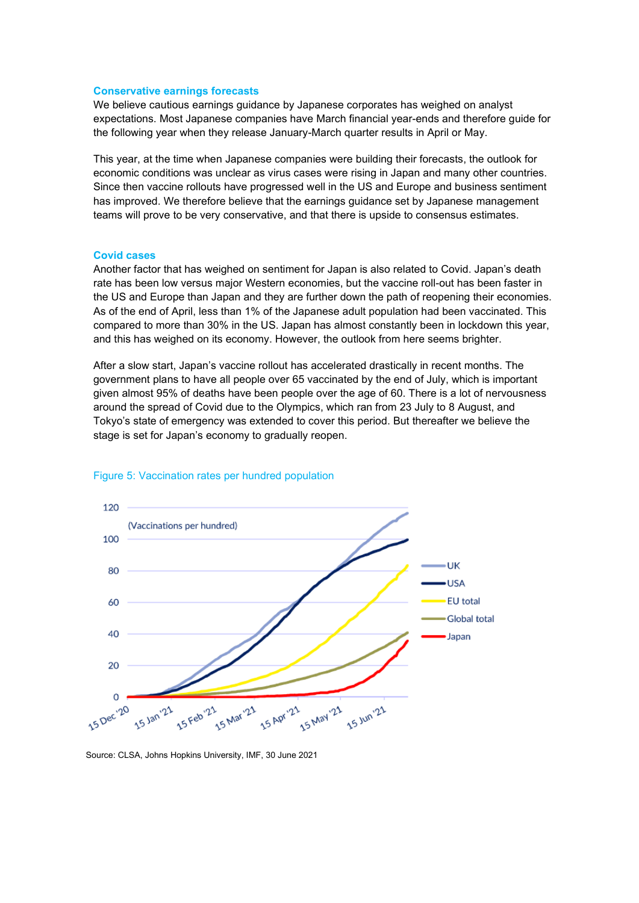#### **Conservative earnings forecasts**

We believe cautious earnings guidance by Japanese corporates has weighed on analyst expectations. Most Japanese companies have March financial year-ends and therefore guide for the following year when they release January-March quarter results in April or May.

This year, at the time when Japanese companies were building their forecasts, the outlook for economic conditions was unclear as virus cases were rising in Japan and many other countries. Since then vaccine rollouts have progressed well in the US and Europe and business sentiment has improved. We therefore believe that the earnings guidance set by Japanese management teams will prove to be very conservative, and that there is upside to consensus estimates.

### **Covid cases**

Another factor that has weighed on sentiment for Japan is also related to Covid. Japan's death rate has been low versus major Western economies, but the vaccine roll-out has been faster in the US and Europe than Japan and they are further down the path of reopening their economies. As of the end of April, less than 1% of the Japanese adult population had been vaccinated. This compared to more than 30% in the US. Japan has almost constantly been in lockdown this year, and this has weighed on its economy. However, the outlook from here seems brighter.

After a slow start, Japan's vaccine rollout has accelerated drastically in recent months. The government plans to have all people over 65 vaccinated by the end of July, which is important given almost 95% of deaths have been people over the age of 60. There is a lot of nervousness around the spread of Covid due to the Olympics, which ran from 23 July to 8 August, and Tokyo's state of emergency was extended to cover this period. But thereafter we believe the stage is set for Japan's economy to gradually reopen.

![](_page_3_Figure_6.jpeg)

#### Figure 5: Vaccination rates per hundred population

Source: CLSA, Johns Hopkins University, IMF, 30 June 2021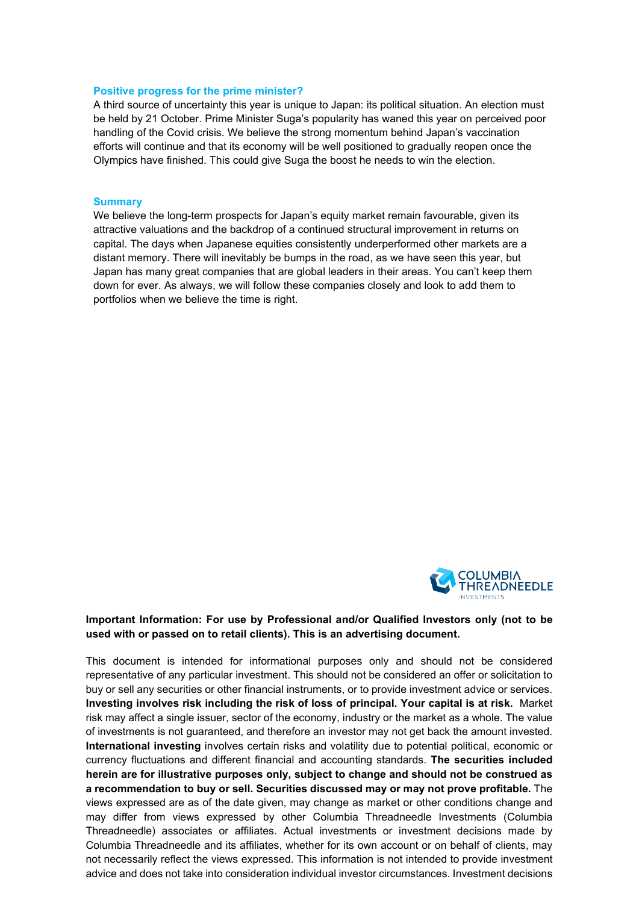### **Positive progress for the prime minister?**

A third source of uncertainty this year is unique to Japan: its political situation. An election must be held by 21 October. Prime Minister Suga's popularity has waned this year on perceived poor handling of the Covid crisis. We believe the strong momentum behind Japan's vaccination efforts will continue and that its economy will be well positioned to gradually reopen once the Olympics have finished. This could give Suga the boost he needs to win the election.

#### **Summary**

We believe the long-term prospects for Japan's equity market remain favourable, given its attractive valuations and the backdrop of a continued structural improvement in returns on capital. The days when Japanese equities consistently underperformed other markets are a distant memory. There will inevitably be bumps in the road, as we have seen this year, but Japan has many great companies that are global leaders in their areas. You can't keep them down for ever. As always, we will follow these companies closely and look to add them to portfolios when we believe the time is right.

![](_page_4_Picture_4.jpeg)

## **Important Information: For use by Professional and/or Qualified Investors only (not to be used with or passed on to retail clients). This is an advertising document.**

This document is intended for informational purposes only and should not be considered representative of any particular investment. This should not be considered an offer or solicitation to buy or sell any securities or other financial instruments, or to provide investment advice or services. **Investing involves risk including the risk of loss of principal. Your capital is at risk.** Market risk may affect a single issuer, sector of the economy, industry or the market as a whole. The value of investments is not guaranteed, and therefore an investor may not get back the amount invested. **International investing** involves certain risks and volatility due to potential political, economic or currency fluctuations and different financial and accounting standards. **The securities included herein are for illustrative purposes only, subject to change and should not be construed as a recommendation to buy or sell. Securities discussed may or may not prove profitable.** The views expressed are as of the date given, may change as market or other conditions change and may differ from views expressed by other Columbia Threadneedle Investments (Columbia Threadneedle) associates or affiliates. Actual investments or investment decisions made by Columbia Threadneedle and its affiliates, whether for its own account or on behalf of clients, may not necessarily reflect the views expressed. This information is not intended to provide investment advice and does not take into consideration individual investor circumstances. Investment decisions